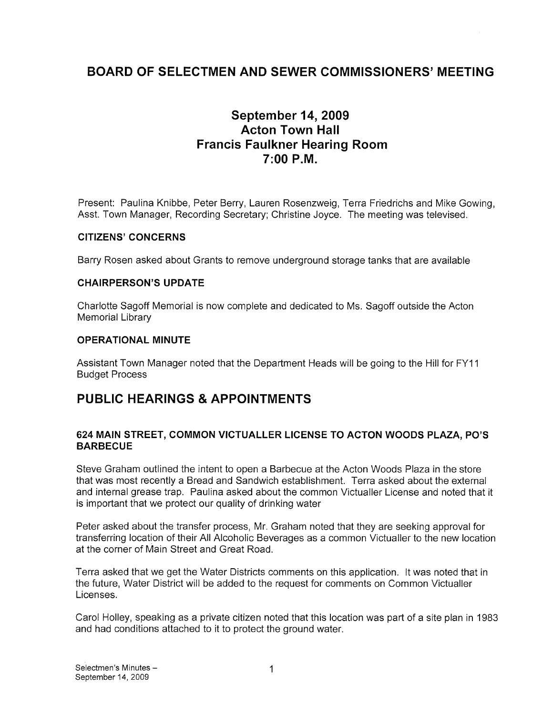# BOARD OF SELECTMEN AND SEWER COMMISSIONERS' MEETING

# September 14, 2009 Acton Town Hall Francis Faulkner Hearing Room 7:00 P.M.

Present: Paulina Knibbe, Peter Berry, Lauren Rosenzweig, Terra Friedrichs and Mike Gowing, Asst. Town Manager, Recording Secretary; Christine Joyce. The meeting was televised.

### CITIZENS' CONCERNS

Barry Rosen asked about Grants to remove underground storage tanks that are available

### CHAIRPERSON'S UPDATE

Charlotte Sagoff Memorial is now complete and dedicated to Ms. Sagoff outside the Acton Memorial Library

### OPERATIONAL MINUTE

Assistant Town Manager noted that the Department Heads will be going to the Hill for FYi <sup>1</sup> Budget Process

## PUBLIC HEARINGS & APPOINTMENTS

### 624 MAIN STREET, COMMON VICTUALLER LICENSE TO ACTON WOODS PLAZA, P0'S **BARBECUE**

Steve Graham outlined the intent to open a Barbecue at the Acton Woods Plaza in the store that was most recently a Bread and Sandwich establishment. Terra asked about the external and internal grease trap. Paulina asked about the common Victualler License and noted that it is important that we protect our quality of drinking water

Peter asked about the transfer process, Mr. Graham noted that they are seeking approval for transferring location of their All Alcoholic Beverages as a common Victualler to the new location at the corner of Main Street and Great Road.

Terra asked that we get the Water Districts comments on this application. It was noted that in the future, Water District will be added to the request for comments on Common Victualler Licenses.

Carol Holley, speaking as a private citizen noted that this location was part of a site plan in 1983 and had conditions attached to it to protect the ground water.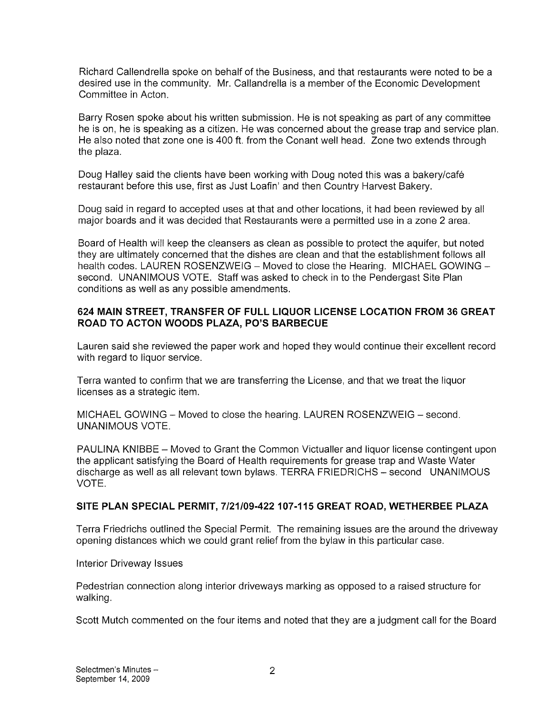Richard Callendrella spoke on behalf of the Business, and that restaurants were noted to be a desired use in the community. Mr. Callandrella is a member of the Economic Development Committee in Acton.

Barry Rosen spoke about his written submission. He is not speaking as part of any committee he is on, he is speaking as a citizen. He was concerned about the grease trap and service plan. He also noted that zone one is 400 ft. from the Conant well head. Zone two extends through the plaza.

Doug Halley said the clients have been working with Doug noted this was a bakery/café restaurant before this use, first as Just Loafin' and then Country Harvest Bakery.

Doug said in regard to accepted uses at that and other locations, it had been reviewed by all major boards and it was decided that Restaurants were a permitted use in a zone 2 area.

Board of Health will keep the cleansers as clean as possible to protect the aquifer, but noted they are ultimately concerned that the dishes are clean and that the establishment follows all health codes, LAUREN ROSENZWEIG — Moved to close the Hearing. MICHAEL GOWING second. UNANIMOUS VOTE. Staff was asked to check in to the Pendergast Site Plan conditions as well as any possible amendments.

### 624 MAIN STREET, TRANSFER OF FULL LIQUOR LICENSE LOCATION FROM 36 GREAT ROAD TO ACTON WOODS PLAZA, P0'S BARBECUE

Lauren said she reviewed the paper work and hoped they would continue their excellent record with regard to liquor service.

Terra wanted to confirm that we are transferring the License, and that we treat the liquor licenses as a strategic item.

MICHAEL GOWING — Moved to close the hearing. LAUREN ROSENZWEIG — second. UNANIMOUS VOTE.

PAULINA KNIBBE — Moved to Grant the Common Victualler and liquor license contingent upon the applicant satisfying the Board of Health requirements for grease trap and Waste Water discharge as well as all relevant town bylaws. TERRA FRIEDRICHS — second UNANIMOUS VOTE.

### SITE PLAN SPECIAL PERMIT, 7121/09-422 107-115 GREAT ROAD, WETHERBEE PLAZA

Terra Friedrichs outlined the Special Permit. The remaining issues are the around the driveway opening distances which we could grant relief from the bylaw in this particular case.

Interior Driveway Issues

Pedestrian connection along interior driveways marking as opposed to a raised structure for walking.

Scott Mutch commented on the four items and noted that they are a judgment call for the Board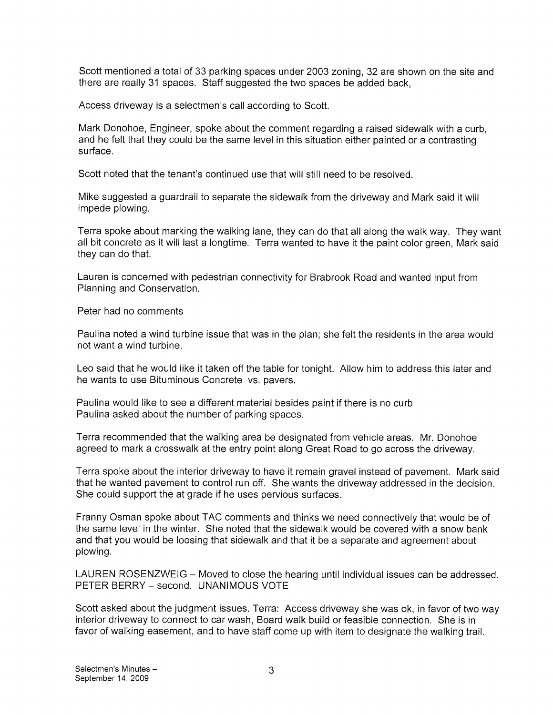Scott mentioned a total of 33 parking spaces under 2003 zoning, 32 are shown on the site and there are really 31 spaces. Staff suggested the two spaces be added back,

Access driveway is a selectmen's call according to Scott.

Mark Donohoe, Engineer, spoke about the comment regarding a raised sidewalk with a curb, and he felt that they could be the same level in this situation either painted or a contrasting surface.

Scott noted that the tenant's continued use that will still need to be resolved.

Mike suggested a guardrail to separate the sidewalk from the driveway and Mark said it will impede plowing.

Terra spoke about marking the walking lane, they can do that all along the walk way. They want all bit concrete as it will last a longtime. Terra wanted to have it the paint color green, Mark said they can do that.

Lauren is concerned with pedestrian connectivity for Brabrook Road and wanted input from Planning and Conservation.

Peter had no comments

Paulina noted a wind turbine issue that was in the plan; she felt the residents in the area would not want a wind turbine.

Leo said that he would like it taken off the table for tonight. Allow him to address this later and he wants to use Bituminous Concrete vs. payers.

Paulina would like to see a different material besides paint if there is no curb Paulina asked about the number of parking spaces.

Terra recommended that the walking area be designated from vehicle areas. Mr. Donohoe agreed to mark a crosswalk at the entry point along Great Road to go across the driveway.

Terra spoke about the interior driveway to have it remain gravel instead of pavement. Mark said that he wanted pavement to control run off. She wants the driveway addressed in the decision. She could support the at grade if he uses pervious surfaces.

Franny Osman spoke about TAC comments and thinks we need connectively that would be of the same level in the winter. She noted that the sidewalk would be covered with a snow bank and that you would be loosing that sidewalk and that it be a separate and agreement about plowing.

LAUREN ROSENZWEIG — Moved to close the hearing until individual issues can be addressed. PETER BERRY — second. UNANIMOUS VOTE

Scott asked about the judgment issues. Terra: Access driveway she was ok, in favor of two way interior driveway to connect to car wash, Board walk build or feasible connection. She is in favor of walking easement, and to have staff come up with item to designate the walking trail.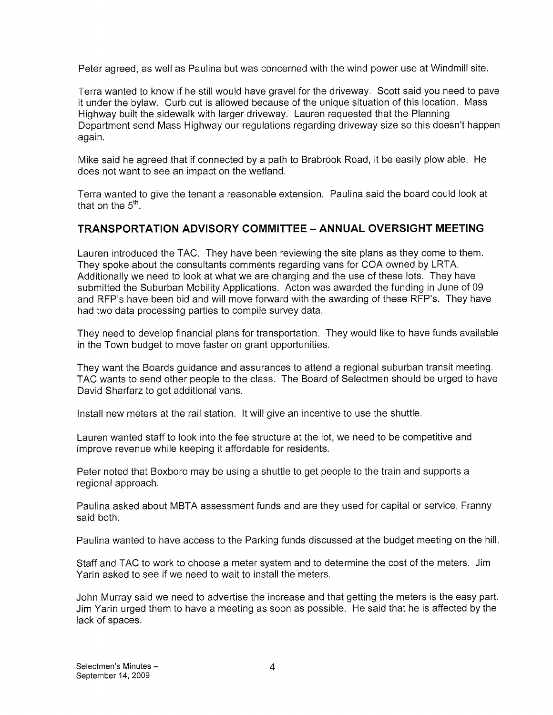Peter agreed, as well as Paulina but was concerned with the wind power use at Windmill site.

Terra wanted to know if he still would have gravel for the driveway. Scott said you need to pave it under the bylaw. Curb cut is allowed because of the unique situation of this location. Mass Highway built the sidewalk with larger driveway. Lauren requested that the Planning Department send Mass Highway our regulations regarding driveway size so this doesn't happen again.

Mike said he agreed that if connected by a path to Brabrook Road, it be easily plow able. He does not want to see an impact on the wetland.

Terra wanted to give the tenant a reasonable extension. Paulina said the board could look at that on the  $5<sup>th</sup>$ .

### TRANSPORTATION ADVISORY COMMITTEE -ANNUAL OVERSIGHT MEETING

Lauren introduced the TAC. They have been reviewing the site plans as they come to them. They spoke about the consultants comments regarding vans for COA owned by LRTA. Additionally we need to look at what we are charging and the use of these lots. They have submitted the Suburban Mobility Applications. Acton was awarded the funding in June of 09 and RFP's have been bid and will move forward with the awarding of these RFP's. They have had two data processing parties to compile survey data.

They need to develop financial plans for transportation. They would like to have funds available in the Town budget to move faster on grant opportunities.

They want the Boards guidance and assurances to attend a regional suburban transit meeting. TAC wants to send other people to the class. The Board of Selectmen should be urged to have David Sharfarz to get additional vans.

Install new meters at the rail station. It will give an incentive to use the shuttle.

Lauren wanted staff to look into the fee structure at the lot, we need to be competitive and improve revenue while keeping it affordable for residents.

Peter noted that Boxboro may be using a shuttle to get people to the train and supports a regional approach.

Paulina asked about MBTA assessment funds and are they used for capital or service, Franny said both.

Paulina wanted to have access to the Parking funds discussed at the budget meeting on the hill.

Staff and TAC to work to choose a meter system and to determine the cost of the meters. Jim Yarin asked to see if we need to wait to install the meters.

John Murray said we need to advertise the increase and that getting the meters is the easy part. Jim Yarin urged them to have a meeting as soon as possible. He said that he is affected by the lack of spaces.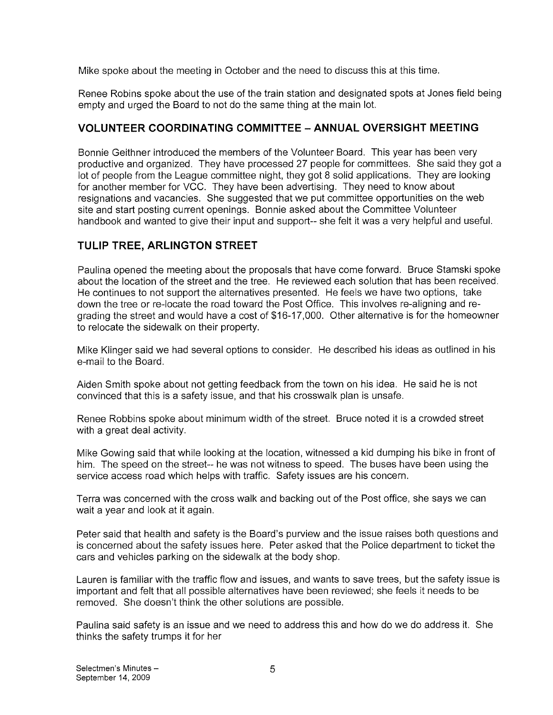Mike spoke about the meeting in October and the need to discuss this at this time.

Renee Robins spoke about the use of the train station and designated spots at Jones field being empty and urged the Board to not do the same thing at the main lot.

## VOLUNTEER COORDINATING COMMITTEE -ANNUAL OVERSIGHT MEETING

Bonnie Geithner introduced the members of the Volunteer Board. This year has been very productive and organized. They have processed 27 people for committees. She said they got a lot of people from the League committee night, they got 8 solid applications. They are looking for another member for VCC. They have been advertising. They need to know about resignations and vacancies. She suggested that we put committee opportunities on the web site and start posting current openings. Bonnie asked about the Committee Volunteer handbook and wanted to give their input and support-- she felt it was a very helpful and useful.

## TULIP TREE, ARLINGTON STREET

Paulina opened the meeting about the proposals that have come forward. Bruce Stamski spoke about the location of the street and the tree. He reviewed each solution that has been received. He continues to not support the alternatives presented. He feels we have two options, take down the tree or re-locate the road toward the Post Office. This involves re-aligning and re grading the street and would have a cost of \$16-17,000. Other alternative is for the homeowner to relocate the sidewalk on their property.

Mike Klinger said we had several options to consider. He described his ideas as outlined in his e-mail to the Board.

Aiden Smith spoke about not getting feedback from the town on his idea. He said he is not convinced that this is a safety issue, and that his crosswalk plan is unsafe.

Renee Robbins spoke about minimum width of the street. Bruce noted it is a crowded street with a great deal activity.

Mike Gowing said that while looking at the location, witnessed a kid dumping his bike in front of him. The speed on the street-- he was not witness to speed. The buses have been using the service access road which helps with traffic. Safety issues are his concern.

Terra was concerned with the cross walk and backing out of the Post office, she says we can wait a year and look at it again.

Peter said that health and safety is the Board's purview and the issue raises both questions and is concerned about the safety issues here. Peter asked that the Police department to ticket the cars and vehicles parking on the sidewalk at the body shop.

Lauren is familiar with the traffic flow and issues, and wants to save trees, but the safety issue is important and felt that all possible alternatives have been reviewed; she feels it needs to be removed. She doesn't think the other solutions are possible.

Paulina said safety is an issue and we need to address this and how do we do address it. She thinks the safety trumps it for her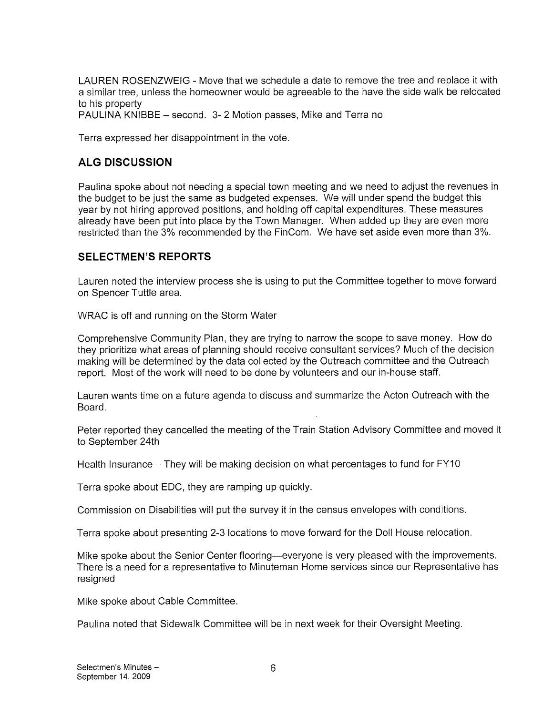LAUREN ROSENZWEIG - Move that we schedule a date to remove the tree and replace it with a similar tree, unless the homeowner would be agreeable to the have the side walk be relocated to his property

PAULINA KNIBBE — second. 3- 2 Motion passes, Mike and Terra no

Terra expressed her disappointment in the vote.

### ALG DISCUSSION

Paulina spoke about not needing a special town meeting and we need to adjust the revenues in the budget to be just the same as budgeted expenses. We will under spend the budget this year by not hiring approved positions, and holding off capital expenditures. These measures already have been put into place by the Town Manager. When added up they are even more restricted than the 3% recommended by the FinCom. We have set aside even more than 3%.

### SELECTMEN'S REPORTS

Lauren noted the interview process she is using to put the Committee together to move forward on Spencer Tuttle area.

WRAC is off and running on the Storm Water

Comprehensive Community Plan, they are trying to narrow the scope to save money. How do they prioritize what areas of planning should receive consultant services? Much of the decision making will be determined by the data collected by the Outreach committee and the Outreach report. Most of the work will need to be done by volunteers and our in-house staff.

Lauren wants time on a future agenda to discuss and summarize the Acton Outreach with the Board.

Peter reported they cancelled the meeting of the Train Station Advisory Committee and moved it to September 24th

Health Insurance — They will be making decision on what percentages to fund for FY10

Terra spoke about EDO, they are ramping up quickly.

Commission on Disabilities will put the survey it in the census envelopes with conditions.

Terra spoke about presenting 2-3 locations to move forward for the Doll House relocation.

Mike spoke about the Senior Center flooring—everyone is very pleased with the improvements. There is a need for a representative to Minuteman Home services since our Representative has resigned

Mike spoke about Cable Committee.

Paulina noted that Sidewalk Committee will be in next week for their Oversight Meeting.